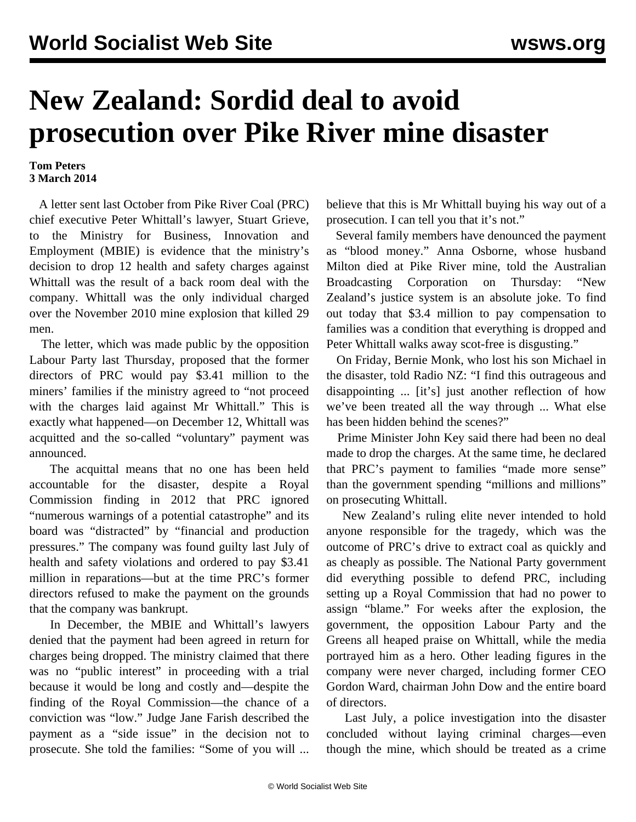## **New Zealand: Sordid deal to avoid prosecution over Pike River mine disaster**

## **Tom Peters 3 March 2014**

 A letter sent last October from Pike River Coal (PRC) chief executive Peter Whittall's lawyer, Stuart Grieve, to the Ministry for Business, Innovation and Employment (MBIE) is evidence that the ministry's decision to drop 12 health and safety charges against Whittall was the result of a back room deal with the company. Whittall was the only individual charged over the November 2010 mine explosion that killed 29 men.

 The letter, which was made public by the opposition Labour Party last Thursday, proposed that the former directors of PRC would pay \$3.41 million to the miners' families if the ministry agreed to "not proceed with the charges laid against Mr Whittall." This is exactly what happened—on December 12, Whittall was acquitted and the so-called "voluntary" payment was announced.

 The acquittal means that no one has been held accountable for the disaster, despite a Royal Commission finding in 2012 that PRC ignored "numerous warnings of a potential catastrophe" and its board was "distracted" by "financial and production pressures." The company was found guilty last July of health and safety violations and ordered to pay \$3.41 million in reparations—but at the time PRC's former directors refused to make the payment on the grounds that the company was bankrupt.

 In December, the MBIE and Whittall's lawyers denied that the payment had been agreed in return for charges being dropped. The ministry claimed that there was no "public interest" in proceeding with a trial because it would be long and costly and—despite the finding of the Royal Commission—the chance of a conviction was "low." Judge Jane Farish described the payment as a "side issue" in the decision not to prosecute. She told the families: "Some of you will ...

believe that this is Mr Whittall buying his way out of a prosecution. I can tell you that it's not."

 Several family members have denounced the payment as "blood money." Anna Osborne, whose husband Milton died at Pike River mine, told the Australian Broadcasting Corporation on Thursday: "New Zealand's justice system is an absolute joke. To find out today that \$3.4 million to pay compensation to families was a condition that everything is dropped and Peter Whittall walks away scot-free is disgusting."

 On Friday, Bernie Monk, who lost his son Michael in the disaster, told Radio NZ: "I find this outrageous and disappointing ... [it's] just another reflection of how we've been treated all the way through ... What else has been hidden behind the scenes?"

 Prime Minister John Key said there had been no deal made to drop the charges. At the same time, he declared that PRC's payment to families "made more sense" than the government spending "millions and millions" on prosecuting Whittall.

 New Zealand's ruling elite never intended to hold anyone responsible for the tragedy, which was the outcome of PRC's drive to extract coal as quickly and as cheaply as possible. The National Party government did everything possible to defend PRC, including setting up a Royal Commission that had no power to assign "blame." For weeks after the explosion, the government, the opposition Labour Party and the Greens all heaped praise on Whittall, while the media portrayed him as a hero. Other leading figures in the company were never charged, including former CEO Gordon Ward, chairman John Dow and the entire board of directors.

 Last July, a police investigation into the disaster concluded without laying criminal charges—even though the mine, which should be treated as a crime